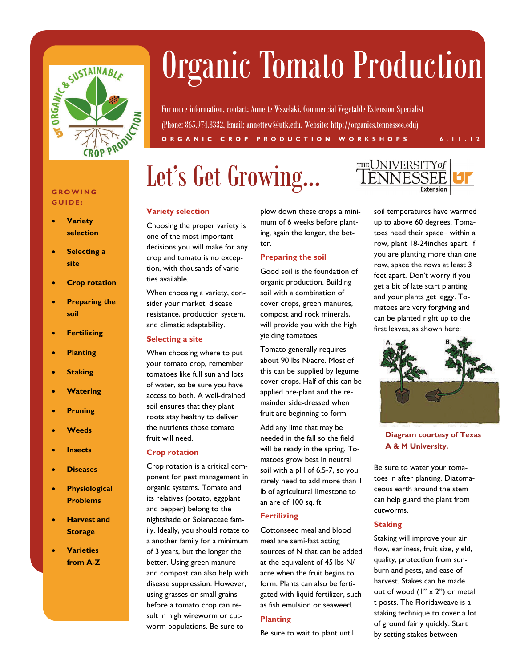

# Organic Tomato Production

For more information, contact: Annette Wszelaki, Commercial Vegetable Extension Specialist (Phone: 865.974.8332, Email: annettew@utk.edu, Website: http://organics.tennessee.edu) **ORGANIC CROP PRODUCTION WORKSHOPS 6.11.12** 

## Let's Get Growing...



#### **GROWING GUIDE:**

- **Variety selection**
- **Selecting a site**
- **Crop rotation**
- **Preparing the soil**
- **Fertilizing**
- **Planting**
- **Staking**
- **Watering**
- **Pruning**
- **Weeds**
- **Insects**
- **Diseases**
- **Physiological Problems**
- **Harvest and Storage**
- **Varieties from A-Z**

#### **Variety selection**

Choosing the proper variety is one of the most important decisions you will make for any crop and tomato is no exception, with thousands of varieties available.

When choosing a variety, consider your market, disease resistance, production system, and climatic adaptability.

#### **Selecting a site**

When choosing where to put your tomato crop, remember tomatoes like full sun and lots of water, so be sure you have access to both. A well-drained soil ensures that they plant roots stay healthy to deliver the nutrients those tomato fruit will need.

#### **Crop rotation**

Crop rotation is a critical component for pest management in organic systems. Tomato and its relatives (potato, eggplant and pepper) belong to the nightshade or Solanaceae family. Ideally, you should rotate to a another family for a minimum of 3 years, but the longer the better. Using green manure and compost can also help with disease suppression. However, using grasses or small grains before a tomato crop can result in high wireworm or cutworm populations. Be sure to

plow down these crops a minimum of 6 weeks before planting, again the longer, the better.

### **Preparing the soil**

Good soil is the foundation of organic production. Building soil with a combination of cover crops, green manures, compost and rock minerals, will provide you with the high yielding tomatoes.

Tomato generally requires about 90 lbs N/acre. Most of this can be supplied by legume cover crops. Half of this can be applied pre-plant and the remainder side-dressed when fruit are beginning to form.

Add any lime that may be needed in the fall so the field will be ready in the spring. Tomatoes grow best in neutral soil with a pH of 6.5-7, so you rarely need to add more than 1 lb of agricultural limestone to an are of 100 sq. ft.

### **Fertilizing**

Cottonseed meal and blood meal are semi-fast acting sources of N that can be added at the equivalent of 45 lbs N/ acre when the fruit begins to form. Plants can also be fertigated with liquid fertilizer, such as fish emulsion or seaweed.

#### **Planting**

Be sure to wait to plant until

soil temperatures have warmed up to above 60 degrees. Tomatoes need their space– within a row, plant 18-24inches apart. If you are planting more than one row, space the rows at least 3 feet apart. Don't worry if you get a bit of late start planting and your plants get leggy. Tomatoes are very forgiving and can be planted right up to the first leaves, as shown here:



**Diagram courtesy of Texas A & M University.** 

Be sure to water your tomatoes in after planting. Diatomaceous earth around the stem can help guard the plant from cutworms.

### **Staking**

Staking will improve your air flow, earliness, fruit size, yield, quality, protection from sunburn and pests, and ease of harvest. Stakes can be made out of wood (1" x 2") or metal t-posts. The Floridaweave is a staking technique to cover a lot of ground fairly quickly. Start by setting stakes between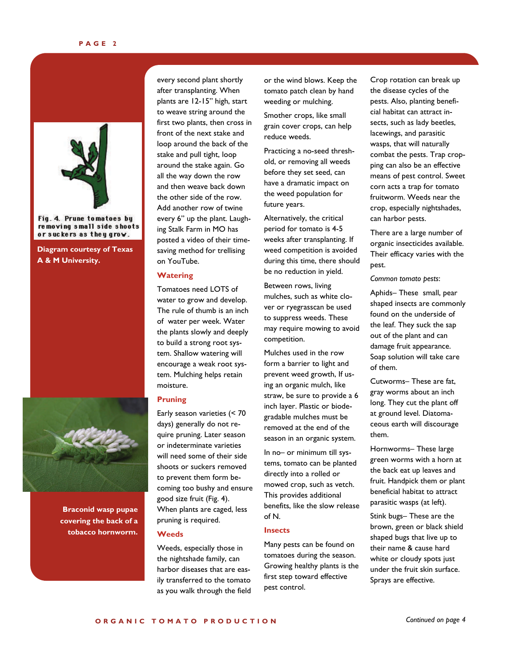

Fig. 4. Prune tomatoes by removing small side shoots or suckers as they grow.

**Diagram courtesy of Texas A & M University.** 



**Braconid wasp pupae covering the back of a tobacco hornworm.** 

every second plant shortly after transplanting. When plants are 12-15" high, start to weave string around the first two plants, then cross in front of the next stake and loop around the back of the stake and pull tight, loop around the stake again. Go all the way down the row and then weave back down the other side of the row. Add another row of twine every 6" up the plant. Laughing Stalk Farm in MO has posted a video of their timesaving method for trellising on YouTube.

#### **Watering**

Tomatoes need LOTS of water to grow and develop. The rule of thumb is an inch of water per week. Water the plants slowly and deeply to build a strong root system. Shallow watering will encourage a weak root system. Mulching helps retain moisture.

#### **Pruning**

Early season varieties (< 70 days) generally do not require pruning. Later season or indeterminate varieties will need some of their side shoots or suckers removed to prevent them form becoming too bushy and ensure good size fruit (Fig. 4). When plants are caged, less pruning is required.

#### **Weeds**

Weeds, especially those in the nightshade family, can harbor diseases that are easily transferred to the tomato as you walk through the field or the wind blows. Keep the tomato patch clean by hand weeding or mulching.

Smother crops, like small grain cover crops, can help reduce weeds.

Practicing a no-seed threshold, or removing all weeds before they set seed, can have a dramatic impact on the weed population for future years.

Alternatively, the critical period for tomato is 4-5 weeks after transplanting. If weed competition is avoided during this time, there should be no reduction in yield.

Between rows, living mulches, such as white clover or ryegrasscan be used to suppress weeds. These may require mowing to avoid competition.

Mulches used in the row form a barrier to light and prevent weed growth, If using an organic mulch, like straw, be sure to provide a 6 inch layer. Plastic or biodegradable mulches must be removed at the end of the season in an organic system.

In no– or minimum till systems, tomato can be planted directly into a rolled or mowed crop, such as vetch. This provides additional benefits, like the slow release of N.

#### **Insects**

Many pests can be found on tomatoes during the season. Growing healthy plants is the first step toward effective pest control.

Crop rotation can break up the disease cycles of the pests. Also, planting beneficial habitat can attract insects, such as lady beetles, lacewings, and parasitic wasps, that will naturally combat the pests. Trap cropping can also be an effective means of pest control. Sweet corn acts a trap for tomato fruitworm. Weeds near the crop, especially nightshades, can harbor pests.

There are a large number of organic insecticides available. Their efficacy varies with the pest.

*Common tomato pests*:

Aphids– These small, pear shaped insects are commonly found on the underside of the leaf. They suck the sap out of the plant and can damage fruit appearance. Soap solution will take care of them.

Cutworms– These are fat, gray worms about an inch long. They cut the plant off at ground level. Diatomaceous earth will discourage them.

Hornworms– These large green worms with a horn at the back eat up leaves and fruit. Handpick them or plant beneficial habitat to attract parasitic wasps (at left).

Stink bugs– These are the brown, green or black shield shaped bugs that live up to their name & cause hard white or cloudy spots just under the fruit skin surface. Sprays are effective.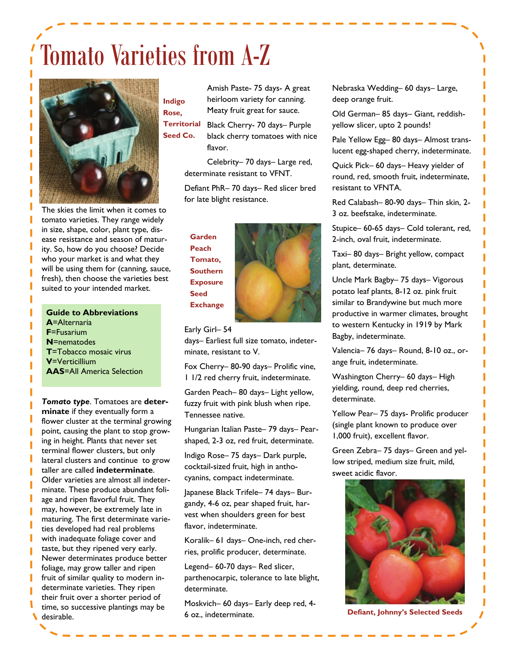## Tomato Varieties from A-Z



The skies the limit when it comes to tomato varieties. They range widely in size, shape, color, plant type, disease resistance and season of maturity. So, how do you choose? Decide who your market is and what they will be using them for (canning, sauce, fresh), then choose the varieties best suited to your intended market.

**Guide to Abbreviations A**=Alternaria **F**=Fusarium **N**=nematodes **T**=Tobacco mosaic virus **V**=Verticillium **AAS**=All America Selection

*Tomato type*. Tomatoes are **determinate** if they eventually form a flower cluster at the terminal growing point, causing the plant to stop growing in height. Plants that never set terminal flower clusters, but only lateral clusters and continue to grow taller are called **indeterminate**. Older varieties are almost all indeterminate. These produce abundant foliage and ripen flavorful fruit. They may, however, be extremely late in maturing. The first determinate varieties developed had real problems with inadequate foliage cover and taste, but they ripened very early. Newer determinates produce better foliage, may grow taller and ripen fruit of similar quality to modern indeterminate varieties. They ripen their fruit over a shorter period of time, so successive plantings may be desirable.

Amish Paste- 75 days- A great heirloom variety for canning. Meaty fruit great for sauce. **Indigo Rose,** 

Black Cherry- 70 days– Purple black cherry tomatoes with nice flavor. **Territorial Seed Co.** 

> Celebrity– 70 days– Large red, determinate resistant to VFNT.

Defiant PhR– 70 days– Red slicer bred for late blight resistance.

**Garden Peach Tomato, Southern Exposure Seed Exchange** 

#### Early Girl– 54

days– Earliest full size tomato, indeterminate, resistant to V.

Fox Cherry– 80-90 days– Prolific vine, 1 1/2 red cherry fruit, indeterminate.

Garden Peach– 80 days– Light yellow, fuzzy fruit with pink blush when ripe. Tennessee native.

Hungarian Italian Paste– 79 days– Pearshaped, 2-3 oz, red fruit, determinate.

Indigo Rose– 75 days– Dark purple, cocktail-sized fruit, high in anthocyanins, compact indeterminate.

Japanese Black Trifele– 74 days– Burgandy, 4-6 oz, pear shaped fruit, harvest when shoulders green for best flavor, indeterminate.

Koralik– 61 days– One-inch, red cherries, prolific producer, determinate.

Legend– 60-70 days– Red slicer, parthenocarpic, tolerance to late blight, determinate.

Moskvich– 60 days– Early deep red, 4- 6 oz., indeterminate.

Nebraska Wedding– 60 days– Large, deep orange fruit.

Old German– 85 days– Giant, reddishyellow slicer, upto 2 pounds!

Pale Yellow Egg– 80 days– Almost translucent egg-shaped cherry, indeterminate.

Quick Pick– 60 days– Heavy yielder of round, red, smooth fruit, indeterminate, resistant to VFNTA.

Red Calabash– 80-90 days– Thin skin, 2- 3 oz. beefstake, indeterminate.

Stupice– 60-65 days– Cold tolerant, red, 2-inch, oval fruit, indeterminate.

Taxi– 80 days– Bright yellow, compact plant, determinate.

Uncle Mark Bagby– 75 days– Vigorous potato leaf plants, 8-12 oz. pink fruit similar to Brandywine but much more productive in warmer climates, brought to western Kentucky in 1919 by Mark Bagby, indeterminate.

Valencia– 76 days– Round, 8-10 oz., orange fruit, indeterminate.

Washington Cherry– 60 days– High yielding, round, deep red cherries, determinate.

Yellow Pear– 75 days- Prolific producer (single plant known to produce over 1,000 fruit), excellent flavor.

Green Zebra– 75 days– Green and yellow striped, medium size fruit, mild, sweet acidic flavor.



**Defiant, Johnny's Selected Seeds**